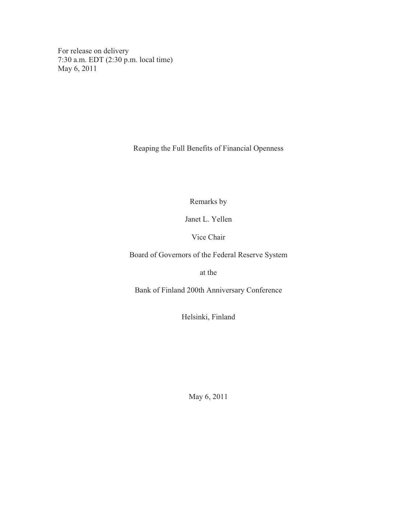For release on delivery 7:30 a.m. EDT (2:30 p.m. local time) May 6, 2011

Reaping the Full Benefits of Financial Openness

Remarks by

Janet L. Yellen

Vice Chair

Board of Governors of the Federal Reserve System

at the

Bank of Finland 200th Anniversary Conference

Helsinki, Finland

May 6, 2011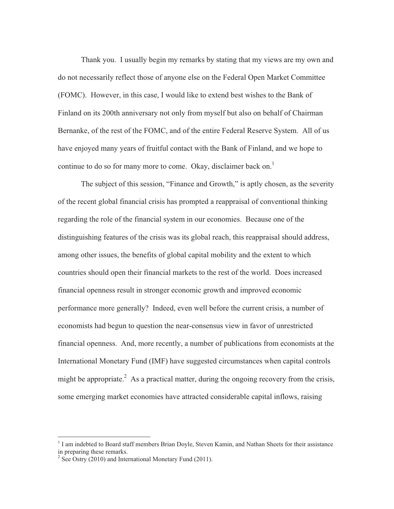Thank you. I usually begin my remarks by stating that my views are my own and do not necessarily reflect those of anyone else on the Federal Open Market Committee (FOMC). However, in this case, I would like to extend best wishes to the Bank of Finland on its 200th anniversary not only from myself but also on behalf of Chairman Bernanke, of the rest of the FOMC, and of the entire Federal Reserve System. All of us have enjoyed many years of fruitful contact with the Bank of Finland, and we hope to continue to do so for many more to come. Okay, disclaimer back on.<sup>1</sup>

 The subject of this session, "Finance and Growth," is aptly chosen, as the severity of the recent global financial crisis has prompted a reappraisal of conventional thinking regarding the role of the financial system in our economies. Because one of the distinguishing features of the crisis was its global reach, this reappraisal should address, among other issues, the benefits of global capital mobility and the extent to which countries should open their financial markets to the rest of the world. Does increased financial openness result in stronger economic growth and improved economic performance more generally? Indeed, even well before the current crisis, a number of economists had begun to question the near-consensus view in favor of unrestricted financial openness. And, more recently, a number of publications from economists at the International Monetary Fund (IMF) have suggested circumstances when capital controls might be appropriate.<sup>2</sup> As a practical matter, during the ongoing recovery from the crisis, some emerging market economies have attracted considerable capital inflows, raising

<sup>&</sup>lt;sup>1</sup> I am indebted to Board staff members Brian Doyle, Steven Kamin, and Nathan Sheets for their assistance in preparing these remarks.

<sup>&</sup>lt;sup>2</sup> See Ostry (2010) and International Monetary Fund (2011).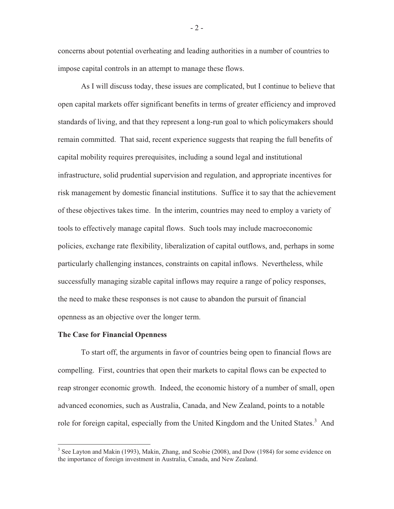concerns about potential overheating and leading authorities in a number of countries to impose capital controls in an attempt to manage these flows.

 As I will discuss today, these issues are complicated, but I continue to believe that open capital markets offer significant benefits in terms of greater efficiency and improved standards of living, and that they represent a long-run goal to which policymakers should remain committed. That said, recent experience suggests that reaping the full benefits of capital mobility requires prerequisites, including a sound legal and institutional infrastructure, solid prudential supervision and regulation, and appropriate incentives for risk management by domestic financial institutions. Suffice it to say that the achievement of these objectives takes time. In the interim, countries may need to employ a variety of tools to effectively manage capital flows. Such tools may include macroeconomic policies, exchange rate flexibility, liberalization of capital outflows, and, perhaps in some particularly challenging instances, constraints on capital inflows. Nevertheless, while successfully managing sizable capital inflows may require a range of policy responses, the need to make these responses is not cause to abandon the pursuit of financial openness as an objective over the longer term.

### **The Case for Financial Openness**

 To start off, the arguments in favor of countries being open to financial flows are compelling. First, countries that open their markets to capital flows can be expected to reap stronger economic growth. Indeed, the economic history of a number of small, open advanced economies, such as Australia, Canada, and New Zealand, points to a notable role for foreign capital, especially from the United Kingdom and the United States.<sup>3</sup> And

- 2 -

<sup>&</sup>lt;sup>3</sup> See Layton and Makin (1993), Makin, Zhang, and Scobie (2008), and Dow (1984) for some evidence on the importance of foreign investment in Australia, Canada, and New Zealand.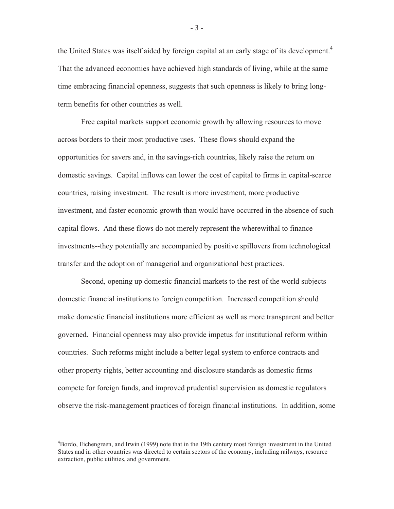the United States was itself aided by foreign capital at an early stage of its development.<sup>4</sup> That the advanced economies have achieved high standards of living, while at the same time embracing financial openness, suggests that such openness is likely to bring longterm benefits for other countries as well.

 Free capital markets support economic growth by allowing resources to move across borders to their most productive uses. These flows should expand the opportunities for savers and, in the savings-rich countries, likely raise the return on domestic savings. Capital inflows can lower the cost of capital to firms in capital-scarce countries, raising investment. The result is more investment, more productive investment, and faster economic growth than would have occurred in the absence of such capital flows. And these flows do not merely represent the wherewithal to finance investments--they potentially are accompanied by positive spillovers from technological transfer and the adoption of managerial and organizational best practices.

 Second, opening up domestic financial markets to the rest of the world subjects domestic financial institutions to foreign competition. Increased competition should make domestic financial institutions more efficient as well as more transparent and better governed. Financial openness may also provide impetus for institutional reform within countries. Such reforms might include a better legal system to enforce contracts and other property rights, better accounting and disclosure standards as domestic firms compete for foreign funds, and improved prudential supervision as domestic regulators observe the risk-management practices of foreign financial institutions. In addition, some

- 3 -

<sup>&</sup>lt;sup>4</sup>Bordo, Eichengreen, and Irwin (1999) note that in the 19th century most foreign investment in the United States and in other countries was directed to certain sectors of the economy, including railways, resource extraction, public utilities, and government.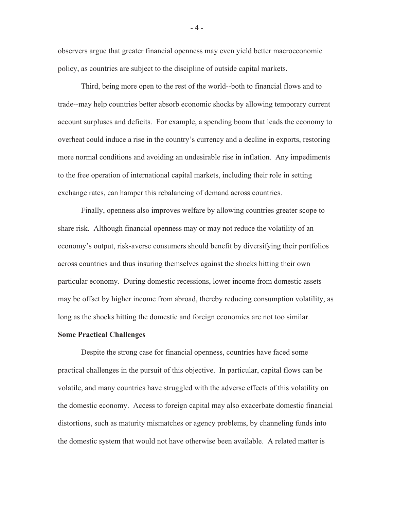observers argue that greater financial openness may even yield better macroeconomic policy, as countries are subject to the discipline of outside capital markets.

 Third, being more open to the rest of the world--both to financial flows and to trade--may help countries better absorb economic shocks by allowing temporary current account surpluses and deficits. For example, a spending boom that leads the economy to overheat could induce a rise in the country's currency and a decline in exports, restoring more normal conditions and avoiding an undesirable rise in inflation. Any impediments to the free operation of international capital markets, including their role in setting exchange rates, can hamper this rebalancing of demand across countries.

 Finally, openness also improves welfare by allowing countries greater scope to share risk. Although financial openness may or may not reduce the volatility of an economy's output, risk-averse consumers should benefit by diversifying their portfolios across countries and thus insuring themselves against the shocks hitting their own particular economy. During domestic recessions, lower income from domestic assets may be offset by higher income from abroad, thereby reducing consumption volatility, as long as the shocks hitting the domestic and foreign economies are not too similar.

## **Some Practical Challenges**

 Despite the strong case for financial openness, countries have faced some practical challenges in the pursuit of this objective. In particular, capital flows can be volatile, and many countries have struggled with the adverse effects of this volatility on the domestic economy. Access to foreign capital may also exacerbate domestic financial distortions, such as maturity mismatches or agency problems, by channeling funds into the domestic system that would not have otherwise been available. A related matter is

- 4 -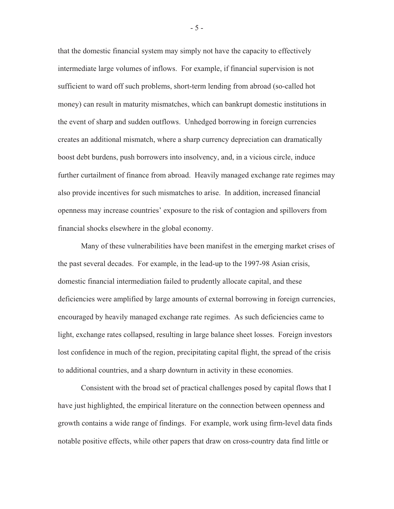that the domestic financial system may simply not have the capacity to effectively intermediate large volumes of inflows. For example, if financial supervision is not sufficient to ward off such problems, short-term lending from abroad (so-called hot money) can result in maturity mismatches, which can bankrupt domestic institutions in the event of sharp and sudden outflows. Unhedged borrowing in foreign currencies creates an additional mismatch, where a sharp currency depreciation can dramatically boost debt burdens, push borrowers into insolvency, and, in a vicious circle, induce further curtailment of finance from abroad. Heavily managed exchange rate regimes may also provide incentives for such mismatches to arise. In addition, increased financial openness may increase countries' exposure to the risk of contagion and spillovers from financial shocks elsewhere in the global economy.

 Many of these vulnerabilities have been manifest in the emerging market crises of the past several decades. For example, in the lead-up to the 1997-98 Asian crisis, domestic financial intermediation failed to prudently allocate capital, and these deficiencies were amplified by large amounts of external borrowing in foreign currencies, encouraged by heavily managed exchange rate regimes. As such deficiencies came to light, exchange rates collapsed, resulting in large balance sheet losses. Foreign investors lost confidence in much of the region, precipitating capital flight, the spread of the crisis to additional countries, and a sharp downturn in activity in these economies.

 Consistent with the broad set of practical challenges posed by capital flows that I have just highlighted, the empirical literature on the connection between openness and growth contains a wide range of findings. For example, work using firm-level data finds notable positive effects, while other papers that draw on cross-country data find little or

- 5 -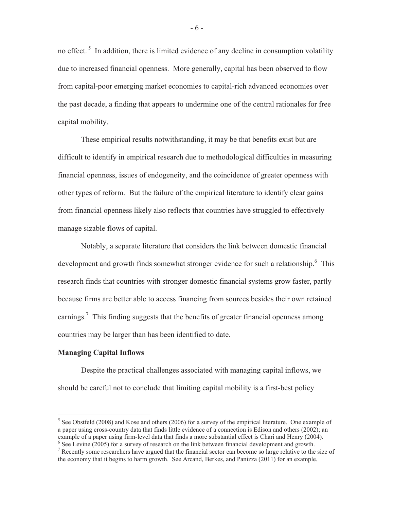no effect.<sup>5</sup> In addition, there is limited evidence of any decline in consumption volatility due to increased financial openness. More generally, capital has been observed to flow from capital-poor emerging market economies to capital-rich advanced economies over the past decade, a finding that appears to undermine one of the central rationales for free capital mobility.

 These empirical results notwithstanding, it may be that benefits exist but are difficult to identify in empirical research due to methodological difficulties in measuring financial openness, issues of endogeneity, and the coincidence of greater openness with other types of reform. But the failure of the empirical literature to identify clear gains from financial openness likely also reflects that countries have struggled to effectively manage sizable flows of capital.

 Notably, a separate literature that considers the link between domestic financial development and growth finds somewhat stronger evidence for such a relationship.<sup>6</sup> This research finds that countries with stronger domestic financial systems grow faster, partly because firms are better able to access financing from sources besides their own retained earnings.<sup>7</sup> This finding suggests that the benefits of greater financial openness among countries may be larger than has been identified to date.

# **Managing Capital Inflows**

 Despite the practical challenges associated with managing capital inflows, we should be careful not to conclude that limiting capital mobility is a first-best policy

 $<sup>5</sup>$  See Obstfeld (2008) and Kose and others (2006) for a survey of the empirical literature. One example of</sup> a paper using cross-country data that finds little evidence of a connection is Edison and others (2002); an example of a paper using firm-level data that finds a more substantial effect is Chari and Henry (2004).  $6$  See Levine (2005) for a survey of research on the link between financial development and growth.

<sup>&</sup>lt;sup>7</sup> Recently some researchers have argued that the financial sector can become so large relative to the size of the economy that it begins to harm growth. See Arcand, Berkes, and Panizza (2011) for an example.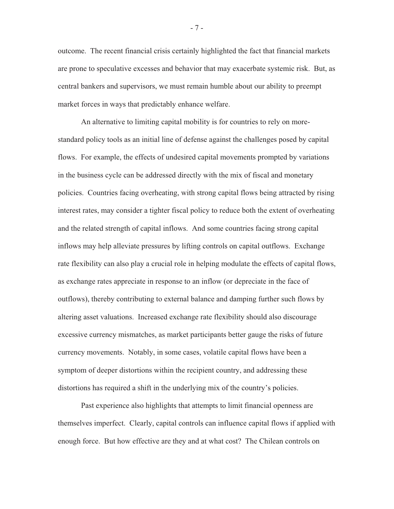outcome. The recent financial crisis certainly highlighted the fact that financial markets are prone to speculative excesses and behavior that may exacerbate systemic risk. But, as central bankers and supervisors, we must remain humble about our ability to preempt market forces in ways that predictably enhance welfare.

 An alternative to limiting capital mobility is for countries to rely on morestandard policy tools as an initial line of defense against the challenges posed by capital flows. For example, the effects of undesired capital movements prompted by variations in the business cycle can be addressed directly with the mix of fiscal and monetary policies. Countries facing overheating, with strong capital flows being attracted by rising interest rates, may consider a tighter fiscal policy to reduce both the extent of overheating and the related strength of capital inflows. And some countries facing strong capital inflows may help alleviate pressures by lifting controls on capital outflows. Exchange rate flexibility can also play a crucial role in helping modulate the effects of capital flows, as exchange rates appreciate in response to an inflow (or depreciate in the face of outflows), thereby contributing to external balance and damping further such flows by altering asset valuations. Increased exchange rate flexibility should also discourage excessive currency mismatches, as market participants better gauge the risks of future currency movements. Notably, in some cases, volatile capital flows have been a symptom of deeper distortions within the recipient country, and addressing these distortions has required a shift in the underlying mix of the country's policies.

 Past experience also highlights that attempts to limit financial openness are themselves imperfect. Clearly, capital controls can influence capital flows if applied with enough force. But how effective are they and at what cost? The Chilean controls on

- 7 -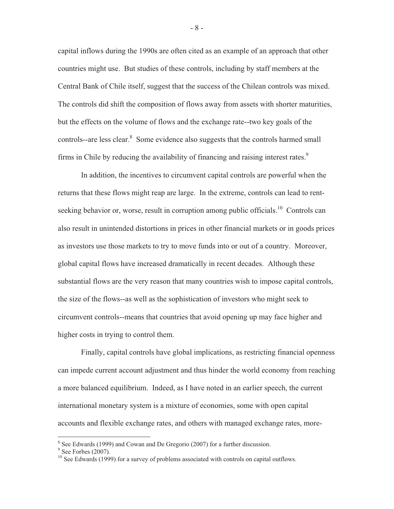capital inflows during the 1990s are often cited as an example of an approach that other countries might use. But studies of these controls, including by staff members at the Central Bank of Chile itself, suggest that the success of the Chilean controls was mixed. The controls did shift the composition of flows away from assets with shorter maturities, but the effects on the volume of flows and the exchange rate--two key goals of the controls--are less clear.<sup>8</sup> Some evidence also suggests that the controls harmed small firms in Chile by reducing the availability of financing and raising interest rates.<sup>9</sup>

 In addition, the incentives to circumvent capital controls are powerful when the returns that these flows might reap are large. In the extreme, controls can lead to rentseeking behavior or, worse, result in corruption among public officials.<sup>10</sup> Controls can also result in unintended distortions in prices in other financial markets or in goods prices as investors use those markets to try to move funds into or out of a country. Moreover, global capital flows have increased dramatically in recent decades. Although these substantial flows are the very reason that many countries wish to impose capital controls, the size of the flows--as well as the sophistication of investors who might seek to circumvent controls--means that countries that avoid opening up may face higher and higher costs in trying to control them.

 Finally, capital controls have global implications, as restricting financial openness can impede current account adjustment and thus hinder the world economy from reaching a more balanced equilibrium. Indeed, as I have noted in an earlier speech, the current international monetary system is a mixture of economies, some with open capital accounts and flexible exchange rates, and others with managed exchange rates, more-

- 8 -

 $8$  See Edwards (1999) and Cowan and De Gregorio (2007) for a further discussion.

 $9$  See Forbes (2007).

<sup>&</sup>lt;sup>10</sup> See Edwards (1999) for a survey of problems associated with controls on capital outflows.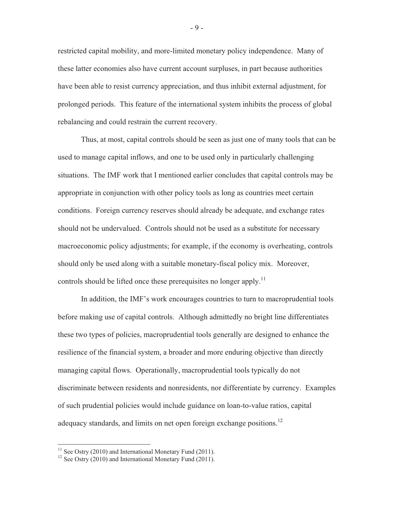restricted capital mobility, and more-limited monetary policy independence. Many of these latter economies also have current account surpluses, in part because authorities have been able to resist currency appreciation, and thus inhibit external adjustment, for prolonged periods. This feature of the international system inhibits the process of global rebalancing and could restrain the current recovery.

 Thus, at most, capital controls should be seen as just one of many tools that can be used to manage capital inflows, and one to be used only in particularly challenging situations. The IMF work that I mentioned earlier concludes that capital controls may be appropriate in conjunction with other policy tools as long as countries meet certain conditions. Foreign currency reserves should already be adequate, and exchange rates should not be undervalued. Controls should not be used as a substitute for necessary macroeconomic policy adjustments; for example, if the economy is overheating, controls should only be used along with a suitable monetary-fiscal policy mix. Moreover, controls should be lifted once these prerequisites no longer apply.<sup>11</sup>

 In addition, the IMF's work encourages countries to turn to macroprudential tools before making use of capital controls. Although admittedly no bright line differentiates these two types of policies, macroprudential tools generally are designed to enhance the resilience of the financial system, a broader and more enduring objective than directly managing capital flows. Operationally, macroprudential tools typically do not discriminate between residents and nonresidents, nor differentiate by currency. Examples of such prudential policies would include guidance on loan-to-value ratios, capital adequacy standards, and limits on net open foreign exchange positions.<sup>12</sup>

<sup>&</sup>lt;sup>11</sup> See Ostry (2010) and International Monetary Fund (2011).<br><sup>12</sup> See Ostry (2010) and International Monetary Fund (2011).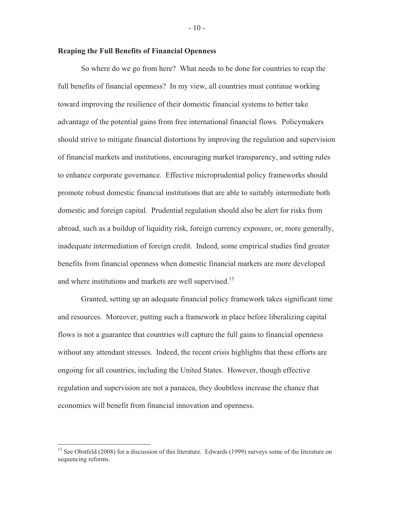## **Reaping the Full Benefits of Financial Openness**

 So where do we go from here? What needs to be done for countries to reap the full benefits of financial openness? In my view, all countries must continue working toward improving the resilience of their domestic financial systems to better take advantage of the potential gains from free international financial flows. Policymakers should strive to mitigate financial distortions by improving the regulation and supervision of financial markets and institutions, encouraging market transparency, and setting rules to enhance corporate governance. Effective microprudential policy frameworks should promote robust domestic financial institutions that are able to suitably intermediate both domestic and foreign capital. Prudential regulation should also be alert for risks from abroad, such as a buildup of liquidity risk, foreign currency exposure, or, more generally, inadequate intermediation of foreign credit. Indeed, some empirical studies find greater benefits from financial openness when domestic financial markets are more developed and where institutions and markets are well supervised.<sup>13</sup>

 Granted, setting up an adequate financial policy framework takes significant time and resources. Moreover, putting such a framework in place before liberalizing capital flows is not a guarantee that countries will capture the full gains to financial openness without any attendant stresses. Indeed, the recent crisis highlights that these efforts are ongoing for all countries, including the United States. However, though effective regulation and supervision are not a panacea, they doubtless increase the chance that economies will benefit from financial innovation and openness.

- 10 -

<sup>&</sup>lt;sup>13</sup> See Obstfeld (2008) for a discussion of this literature. Edwards (1999) surveys some of the literature on sequencing reforms.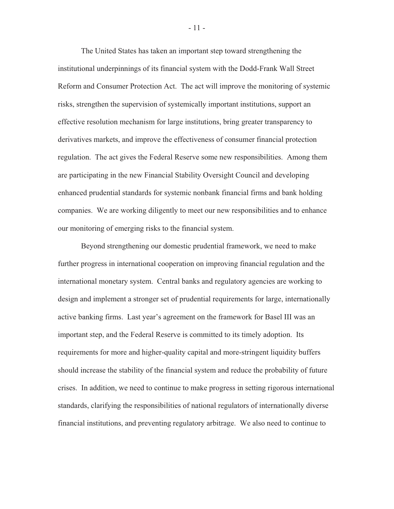The United States has taken an important step toward strengthening the institutional underpinnings of its financial system with the Dodd-Frank Wall Street Reform and Consumer Protection Act. The act will improve the monitoring of systemic risks, strengthen the supervision of systemically important institutions, support an effective resolution mechanism for large institutions, bring greater transparency to derivatives markets, and improve the effectiveness of consumer financial protection regulation. The act gives the Federal Reserve some new responsibilities. Among them are participating in the new Financial Stability Oversight Council and developing enhanced prudential standards for systemic nonbank financial firms and bank holding companies. We are working diligently to meet our new responsibilities and to enhance our monitoring of emerging risks to the financial system.

 Beyond strengthening our domestic prudential framework, we need to make further progress in international cooperation on improving financial regulation and the international monetary system. Central banks and regulatory agencies are working to design and implement a stronger set of prudential requirements for large, internationally active banking firms. Last year's agreement on the framework for Basel III was an important step, and the Federal Reserve is committed to its timely adoption. Its requirements for more and higher-quality capital and more-stringent liquidity buffers should increase the stability of the financial system and reduce the probability of future crises. In addition, we need to continue to make progress in setting rigorous international standards, clarifying the responsibilities of national regulators of internationally diverse financial institutions, and preventing regulatory arbitrage. We also need to continue to

- 11 -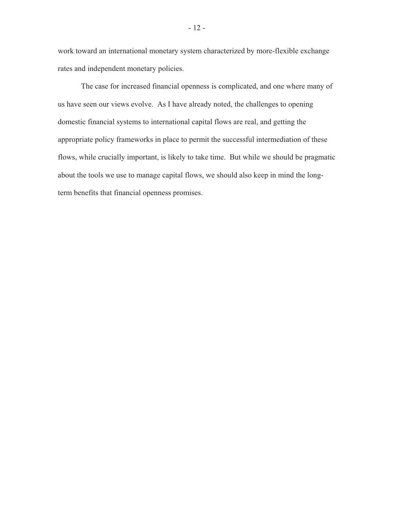work toward an international monetary system characterized by more-flexible exchange rates and independent monetary policies.

 The case for increased financial openness is complicated, and one where many of us have seen our views evolve. As I have already noted, the challenges to opening domestic financial systems to international capital flows are real, and getting the appropriate policy frameworks in place to permit the successful intermediation of these flows, while crucially important, is likely to take time. But while we should be pragmatic about the tools we use to manage capital flows, we should also keep in mind the longterm benefits that financial openness promises.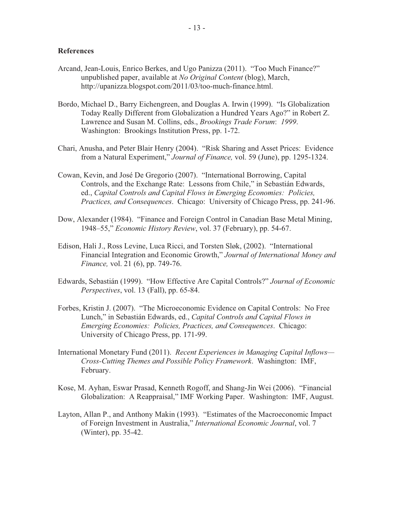#### **References**

- Arcand, Jean-Louis, Enrico Berkes, and Ugo Panizza (2011). "Too Much Finance?" unpublished paper, available at *No Original Content* (blog), March, http://upanizza.blogspot.com/2011/03/too-much-finance.html.
- Bordo, Michael D., Barry Eichengreen, and Douglas A. Irwin (1999). "Is Globalization Today Really Different from Globalization a Hundred Years Ago?" in Robert Z. Lawrence and Susan M. Collins, eds., *Brookings Trade Forum*: *1999*. Washington: Brookings Institution Press, pp. 1-72.
- Chari, Anusha, and Peter Blair Henry (2004). "Risk Sharing and Asset Prices: Evidence from a Natural Experiment," *Journal of Finance,* vol. 59 (June), pp. 1295-1324.
- Cowan, Kevin, and José De Gregorio (2007). "International Borrowing, Capital Controls, and the Exchange Rate: Lessons from Chile," in Sebastián Edwards, ed., *Capital Controls and Capital Flows in Emerging Economies: Policies, Practices, and Consequences*. Chicago: University of Chicago Press, pp. 241-96.
- Dow, Alexander (1984). "Finance and Foreign Control in Canadian Base Metal Mining, 1948–55," *Economic History Review*, vol. 37 (February), pp. 54-67.
- Edison, Hali J., Ross Levine, Luca Ricci, and Torsten Sløk, (2002). "International Financial Integration and Economic Growth," *Journal of International Money and Finance,* vol. 21 (6), pp. 749-76.
- Edwards, Sebastián (1999). "How Effective Are Capital Controls?" *Journal of Economic Perspectives*, vol. 13 (Fall), pp. 65-84.
- Forbes, Kristin J. (2007). "The Microeconomic Evidence on Capital Controls: No Free Lunch," in Sebastián Edwards, ed., *Capital Controls and Capital Flows in Emerging Economies: Policies, Practices, and Consequences*. Chicago: University of Chicago Press, pp. 171-99.
- International Monetary Fund (2011). *Recent Experiences in Managing Capital Inflows— Cross-Cutting Themes and Possible Policy Framework*. Washington: IMF, February.
- Kose, M. Ayhan, Eswar Prasad, Kenneth Rogoff, and Shang-Jin Wei (2006). "Financial Globalization: A Reappraisal," IMF Working Paper. Washington: IMF, August.
- Layton, Allan P., and Anthony Makin (1993). "Estimates of the Macroeconomic Impact of Foreign Investment in Australia," *International Economic Journal*, vol. 7 (Winter), pp. 35-42.